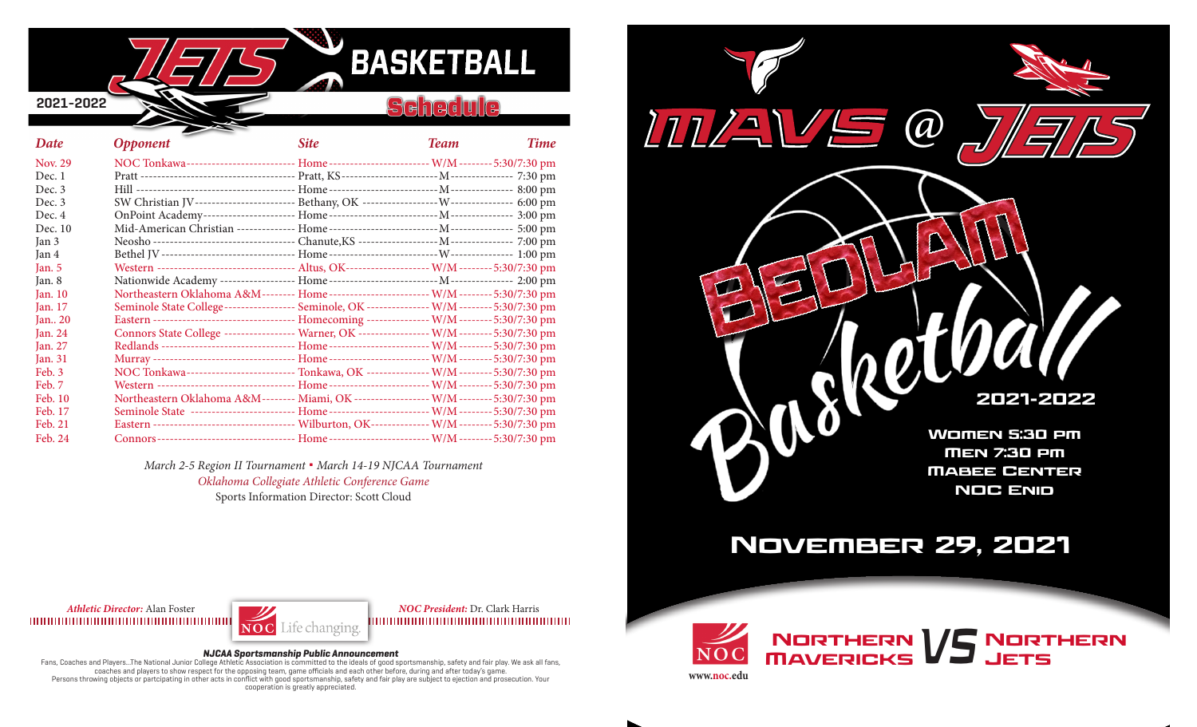

#### **Schedule**

| Date           | <b>Opponent</b>                                                                                   | <b>Site</b> | <b>Team</b> | <b>Time</b> |
|----------------|---------------------------------------------------------------------------------------------------|-------------|-------------|-------------|
| <b>Nov. 29</b> | NOC Tonkawa-------------------------- Home------------------------ W/M-------- 5:30/7:30 pm       |             |             |             |
| Dec. 1         |                                                                                                   |             |             |             |
| Dec.3          |                                                                                                   |             |             |             |
| Dec. 3         | SW Christian JV----------------------- Bethany, OK ------------------ W--------------- 6:00 pm    |             |             |             |
| Dec. 4         |                                                                                                   |             |             |             |
| Dec. 10        |                                                                                                   |             |             |             |
| Jan 3          |                                                                                                   |             |             |             |
| Jan 4          |                                                                                                   |             |             |             |
| Jan. $5$       | Western --------------------------------- Altus, OK-------------------- W/M -------- 5:30/7:30 pm |             |             |             |
| Jan. 8         |                                                                                                   |             |             |             |
| Jan. 10        | Northeastern Oklahoma A&M-------- Home------------------------- W/M-------- 5:30/7:30 pm          |             |             |             |
| Jan. 17        | Seminole State College----------------- Seminole, OK --------------- W/M -------- 5:30/7:30 pm    |             |             |             |
| Jan 20         | Eastern ---------------------------------- Homecoming --------------- W/M -------- 5:30/7:30 pm   |             |             |             |
| Jan. 24        | Connors State College ----------------- Warner, OK ---------------- W/M ------- 5:30/7:30 pm      |             |             |             |
| Jan. 27        | Redlands -------------------------------- Home ------------------------ W/M -------- 5:30/7:30 pm |             |             |             |
| Jan. 31        | Murray ---------------------------------- Home ------------------------ W/M -------- 5:30/7:30 pm |             |             |             |
| Feb. 3         | NOC Tonkawa-------------------------- Tonkawa, OK --------------- W/M -------- 5:30/7:30 pm       |             |             |             |
| Feb. 7         | Western ---------------------------------- Home ----------------------- W/M -------- 5:30/7:30 pm |             |             |             |
| Feb. 10        | Northeastern Oklahoma A&M-------- Miami, OK ------------------ W/M ------- 5:30/7:30 pm           |             |             |             |
| Feb. 17        | Seminole State ------------------------- Home------------------------ W/M-------- 5:30/7:30 pm    |             |             |             |
| Feb. 21        | Eastern --------------------------------- Wilburton, OK-------------- W/M -------- 5:30/7:30 pm   |             |             |             |
| Feb. 24        |                                                                                                   |             |             |             |

*March 2-5 Region II Tournament* **.** *March 14-19 NJCAA Tournament Oklahoma Collegiate Athletic Conference Game* Sports Information Director: Scott Cloud



## November 29, 2021

Jets



*Athletic Director:* Alan Foster *NOC President:* Dr. Clark Harris 

#### **NJCAA Sportsmanship Public Announcement**

Fans, Coaches and Players...The National Junior College Athletic Association is committed to the ideals of good sportsmanship, safety and fair play. We ask all fans, coaches and players to show respect for the opposing team, game officials and each other before, during and after today's game. Persons throwing objects or partcipating in other acts in conflict with good sportsmanship, safety and fair play are subject to ejection and prosecution. Your cooperation is greatly appreciated.

NORTHERN V5 NORTHERN<br>MAVERICKS V5 JETS **www.noc.edu**